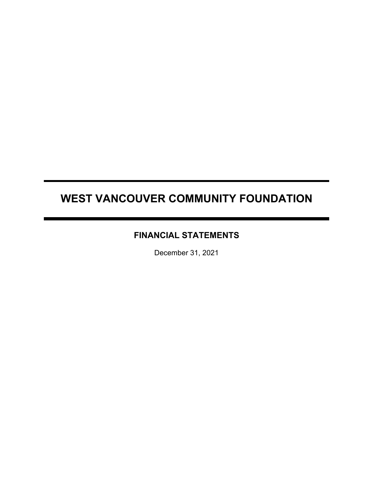## **FINANCIAL STATEMENTS**

December 31, 2021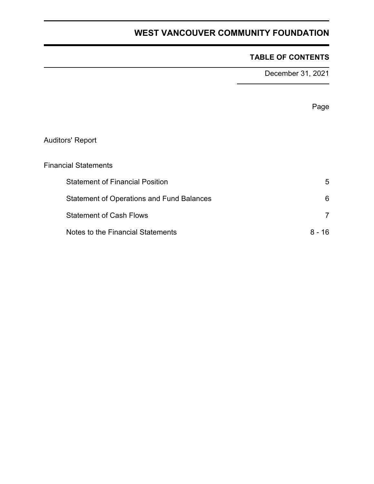## **TABLE OF CONTENTS**

December 31, 2021

|                                                  | Page           |
|--------------------------------------------------|----------------|
| <b>Auditors' Report</b>                          |                |
| <b>Financial Statements</b>                      |                |
| <b>Statement of Financial Position</b>           | 5              |
| <b>Statement of Operations and Fund Balances</b> | 6              |
| <b>Statement of Cash Flows</b>                   | $\overline{7}$ |
| Notes to the Financial Statements                | $8 - 16$       |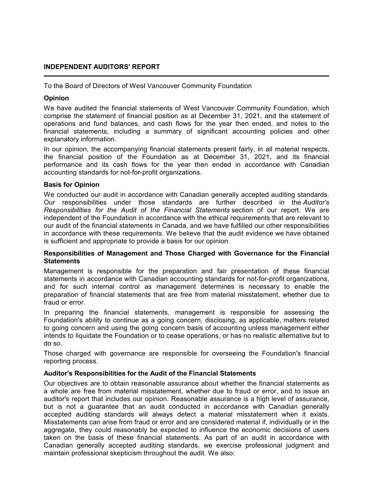#### **INDEPENDENT AUDITORS' REPORT**

To the Board of Directors of West Vancouver Community Foundation

#### **Opinion**

We have audited the financial statements of West Vancouver Community Foundation, which comprise the statement of financial position as at December 31, 2021, and the statement of operations and fund balances, and cash flows for the year then ended, and notes to the financial statements, including a summary of significant accounting policies and other explanatory information.

In our opinion, the accompanying financial statements present fairly, in all material respects, the financial position of the Foundation as at December 31, 2021, and its financial performance and its cash flows for the year then ended in accordance with Canadian accounting standards for not-for-profit organizations.

#### **Basis for Opinion**

We conducted our audit in accordance with Canadian generally accepted auditing standards. Our responsibilities under those standards are further described in the *Auditor's Responsibilities for the Audit of the Financial Statements* section of our report. We are independent of the Foundation in accordance with the ethical requirements that are relevant to our audit of the financial statements in Canada, and we have fulfilled our other responsibilities in accordance with these requirements. We believe that the audit evidence we have obtained is sufficient and appropriate to provide a basis for our opinion.

#### **Responsibilities of Management and Those Charged with Governance for the Financial Statements**

Management is responsible for the preparation and fair presentation of these financial statements in accordance with Canadian accounting standards for not-for-profit organizations, and for such internal control as management determines is necessary to enable the preparation of financial statements that are free from material misstatement, whether due to fraud or error.

In preparing the financial statements, management is responsible for assessing the Foundation's ability to continue as a going concern, disclosing, as applicable, matters related to going concern and using the going concern basis of accounting unless management either intends to liquidate the Foundation or to cease operations, or has no realistic alternative but to do so.

Those charged with governance are responsible for overseeing the Foundation's financial reporting process.

#### **Auditor's Responsibilities for the Audit of the Financial Statements**

Our objectives are to obtain reasonable assurance about whether the financial statements as a whole are free from material misstatement, whether due to fraud or error, and to issue an auditor's report that includes our opinion. Reasonable assurance is a high level of assurance, but is not a guarantee that an audit conducted in accordance with Canadian generally accepted auditing standards will always detect a material misstatement when it exists. Misstatements can arise from fraud or error and are considered material if, individually or in the aggregate, they could reasonably be expected to influence the economic decisions of users taken on the basis of these financial statements. As part of an audit in accordance with Canadian generally accepted auditing standards, we exercise professional judgment and maintain professional skepticism throughout the audit. We also: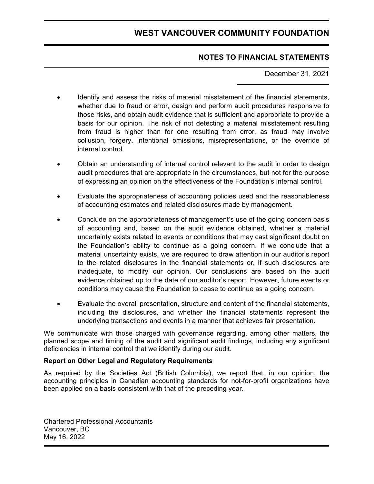### **NOTES TO FINANCIAL STATEMENTS**

December 31, 2021

- Identify and assess the risks of material misstatement of the financial statements, whether due to fraud or error, design and perform audit procedures responsive to those risks, and obtain audit evidence that is sufficient and appropriate to provide a basis for our opinion. The risk of not detecting a material misstatement resulting from fraud is higher than for one resulting from error, as fraud may involve collusion, forgery, intentional omissions, misrepresentations, or the override of internal control.
- Obtain an understanding of internal control relevant to the audit in order to design audit procedures that are appropriate in the circumstances, but not for the purpose of expressing an opinion on the effectiveness of the Foundation's internal control.
- Evaluate the appropriateness of accounting policies used and the reasonableness of accounting estimates and related disclosures made by management.
- Conclude on the appropriateness of management's use of the going concern basis of accounting and, based on the audit evidence obtained, whether a material uncertainty exists related to events or conditions that may cast significant doubt on the Foundation's ability to continue as a going concern. If we conclude that a material uncertainty exists, we are required to draw attention in our auditor's report to the related disclosures in the financial statements or, if such disclosures are inadequate, to modify our opinion. Our conclusions are based on the audit evidence obtained up to the date of our auditor's report. However, future events or conditions may cause the Foundation to cease to continue as a going concern.
- Evaluate the overall presentation, structure and content of the financial statements, including the disclosures, and whether the financial statements represent the underlying transactions and events in a manner that achieves fair presentation.

We communicate with those charged with governance regarding, among other matters, the planned scope and timing of the audit and significant audit findings, including any significant deficiencies in internal control that we identify during our audit.

#### **Report on Other Legal and Regulatory Requirements**

As required by the Societies Act (British Columbia), we report that, in our opinion, the accounting principles in Canadian accounting standards for not-for-profit organizations have been applied on a basis consistent with that of the preceding year.

Chartered Professional Accountants Vancouver, BC May 16, 2022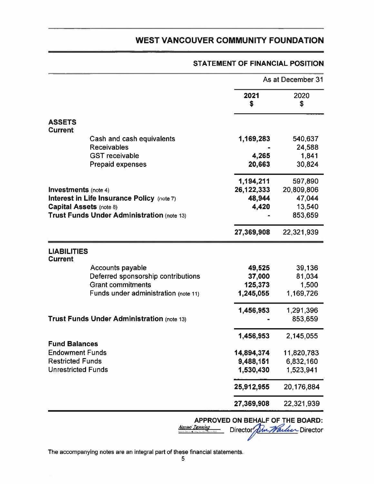|                                                   |                                                   | As at December 31       |                         |
|---------------------------------------------------|---------------------------------------------------|-------------------------|-------------------------|
|                                                   |                                                   | 2021<br>\$              | 2020<br>\$              |
| <b>ASSETS</b><br><b>Current</b>                   |                                                   |                         |                         |
|                                                   | Cash and cash equivalents                         | 1,169,283               | 540,637                 |
|                                                   | <b>Receivables</b>                                |                         | 24,588                  |
|                                                   | <b>GST</b> receivable                             | 4,265                   | 1,841                   |
|                                                   | <b>Prepaid expenses</b>                           | 20,663                  | 30,824                  |
|                                                   |                                                   | 1,194,211               | 597,890                 |
| <b>Investments</b> (note 4)                       |                                                   | 26, 122, 333            | 20,809,806              |
|                                                   | Interest in Life Insurance Policy (note 7)        | 48,944                  | 47,044                  |
| Capital Assets (note 8)                           |                                                   | 4,420                   | 13,540                  |
|                                                   | <b>Trust Funds Under Administration (note 13)</b> |                         | 853,659                 |
|                                                   |                                                   | 27,369,908              | 22,321,939              |
| <b>LIABILITIES</b><br><b>Current</b>              |                                                   |                         |                         |
|                                                   | Accounts payable                                  | 49,525                  | 39,136                  |
|                                                   | Deferred sponsorship contributions                | 37,000                  | 81,034                  |
|                                                   | <b>Grant commitments</b>                          | 125,373                 | 1,500                   |
|                                                   | Funds under administration (note 11)              | 1,245,055               | 1,169,726               |
|                                                   |                                                   | 1,456,953               | 1,291,396               |
|                                                   | <b>Trust Funds Under Administration (note 13)</b> |                         | 853,659                 |
|                                                   |                                                   | 1,456,953               | 2,145,055               |
| <b>Fund Balances</b>                              |                                                   |                         |                         |
| <b>Endowment Funds</b><br><b>Restricted Funds</b> |                                                   | 14,894,374<br>9,488,151 | 11,820,783<br>6,832,160 |
| <b>Unrestricted Funds</b>                         |                                                   | 1,530,430               | 1,523,941               |
|                                                   |                                                   |                         |                         |
|                                                   |                                                   | 25,912,955              | 20,176,884              |
|                                                   |                                                   | 27,369,908              | 22,321,939              |

#### STATEMENT OF FINANCIAL POSITION

APPROVED ON BEHALF OF THE BOARD:

Director Din Warler Director Naomi Denning

The accompanying notes are an integral part of these financial statements.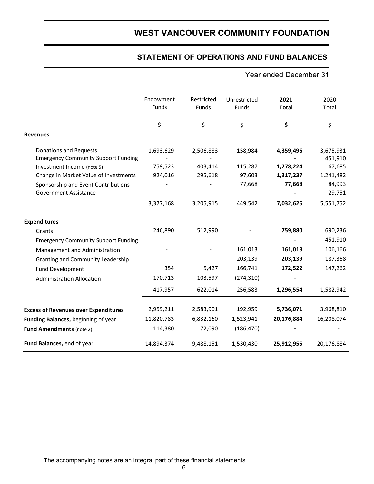#### **STATEMENT OF OPERATIONS AND FUND BALANCES**

## Year ended December 31

|                                                                      | Endowment<br>Funds | Restricted<br><b>Funds</b> | Unrestricted<br>Funds | 2021<br><b>Total</b> | 2020<br>Total        |
|----------------------------------------------------------------------|--------------------|----------------------------|-----------------------|----------------------|----------------------|
|                                                                      | \$                 | \$                         | \$                    | \$                   | \$                   |
| <b>Revenues</b>                                                      |                    |                            |                       |                      |                      |
| Donations and Bequests<br><b>Emergency Community Support Funding</b> | 1,693,629          | 2,506,883                  | 158,984               | 4,359,496            | 3,675,931<br>451,910 |
| Investment Income (note 5)                                           | 759,523            | 403,414                    | 115,287               | 1,278,224            | 67,685               |
| Change in Market Value of Investments                                | 924,016            | 295,618                    | 97,603                | 1,317,237            | 1,241,482            |
| Sponsorship and Event Contributions                                  |                    |                            | 77,668                | 77,668               | 84,993               |
| <b>Government Assistance</b>                                         |                    |                            |                       |                      | 29,751               |
|                                                                      | 3,377,168          | 3,205,915                  | 449,542               | 7,032,625            | 5,551,752            |
| <b>Expenditures</b>                                                  |                    |                            |                       |                      |                      |
| Grants                                                               | 246,890            | 512,990                    |                       | 759,880              | 690,236              |
| <b>Emergency Community Support Funding</b>                           |                    |                            |                       |                      | 451,910              |
| Management and Administration                                        |                    |                            | 161,013               | 161,013              | 106,166              |
| Granting and Community Leadership                                    |                    |                            | 203,139               | 203,139              | 187,368              |
| Fund Development                                                     | 354                | 5,427                      | 166,741               | 172,522              | 147,262              |
| <b>Administration Allocation</b>                                     | 170,713            | 103,597                    | (274, 310)            |                      |                      |
|                                                                      | 417,957            | 622,014                    | 256,583               | 1,296,554            | 1,582,942            |
|                                                                      |                    |                            |                       |                      |                      |
| <b>Excess of Revenues over Expenditures</b>                          | 2,959,211          | 2,583,901                  | 192,959               | 5,736,071            | 3,968,810            |
| Funding Balances, beginning of year                                  | 11,820,783         | 6,832,160                  | 1,523,941             | 20,176,884           | 16,208,074           |
| <b>Fund Amendments (note 2)</b>                                      | 114,380            | 72,090                     | (186, 470)            |                      |                      |
| Fund Balances, end of year                                           | 14,894,374         | 9,488,151                  | 1,530,430             | 25,912,955           | 20,176,884           |

The accompanying notes are an integral part of these financial statements.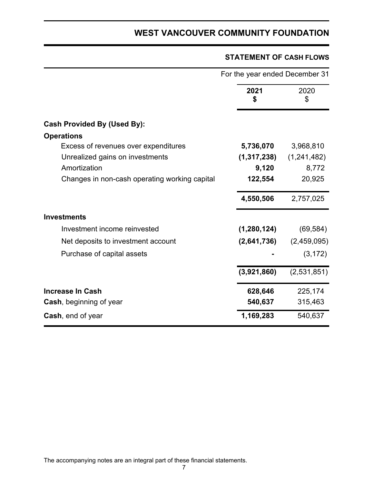|                                               |               | For the year ended December 31 |  |  |
|-----------------------------------------------|---------------|--------------------------------|--|--|
|                                               | 2021<br>\$    | 2020<br>\$                     |  |  |
| <b>Cash Provided By (Used By):</b>            |               |                                |  |  |
| <b>Operations</b>                             |               |                                |  |  |
| Excess of revenues over expenditures          | 5,736,070     | 3,968,810                      |  |  |
| Unrealized gains on investments               | (1,317,238)   | (1,241,482)                    |  |  |
| Amortization                                  | 9,120         | 8,772                          |  |  |
| Changes in non-cash operating working capital | 122,554       | 20,925                         |  |  |
|                                               | 4,550,506     | 2,757,025                      |  |  |
| <b>Investments</b>                            |               |                                |  |  |
| Investment income reinvested                  | (1, 280, 124) | (69, 584)                      |  |  |
| Net deposits to investment account            | (2,641,736)   | (2,459,095)                    |  |  |
| Purchase of capital assets                    |               | (3, 172)                       |  |  |
|                                               | (3,921,860)   | (2,531,851)                    |  |  |
| <b>Increase In Cash</b>                       | 628,646       | 225,174                        |  |  |
| <b>Cash, beginning of year</b>                | 540,637       | 315,463                        |  |  |
| Cash, end of year                             | 1,169,283     | 540,637                        |  |  |

#### **STATEMENT OF CASH FLOWS**

The accompanying notes are an integral part of these financial statements.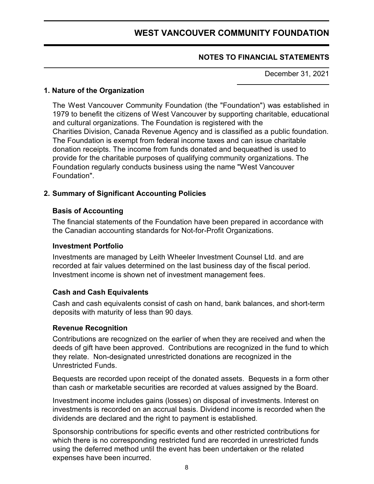### **NOTES TO FINANCIAL STATEMENTS**

December 31, 2021

#### **1. Nature of the Organization**

The West Vancouver Community Foundation (the "Foundation") was established in 1979 to benefit the citizens of West Vancouver by supporting charitable, educational and cultural organizations. The Foundation is registered with the Charities Division, Canada Revenue Agency and is classified as a public foundation. The Foundation is exempt from federal income taxes and can issue charitable donation receipts. The income from funds donated and bequeathed is used to provide for the charitable purposes of qualifying community organizations. The Foundation regularly conducts business using the name "West Vancouver Foundation".

### **2. Summary of Significant Accounting Policies**

### **Basis of Accounting**

The financial statements of the Foundation have been prepared in accordance with the Canadian accounting standards for Not-for-Profit Organizations.

#### **Investment Portfolio**

Investments are managed by Leith Wheeler Investment Counsel Ltd. and are recorded at fair values determined on the last business day of the fiscal period. Investment income is shown net of investment management fees.

### **Cash and Cash Equivalents**

Cash and cash equivalents consist of cash on hand, bank balances, and short-term deposits with maturity of less than 90 days.

#### **Revenue Recognition**

Contributions are recognized on the earlier of when they are received and when the deeds of gift have been approved. Contributions are recognized in the fund to which they relate. Non-designated unrestricted donations are recognized in the Unrestricted Funds.

Bequests are recorded upon receipt of the donated assets. Bequests in a form other than cash or marketable securities are recorded at values assigned by the Board.

Investment income includes gains (losses) on disposal of investments. Interest on investments is recorded on an accrual basis. Dividend income is recorded when the dividends are declared and the right to payment is established.

Sponsorship contributions for specific events and other restricted contributions for which there is no corresponding restricted fund are recorded in unrestricted funds using the deferred method until the event has been undertaken or the related expenses have been incurred.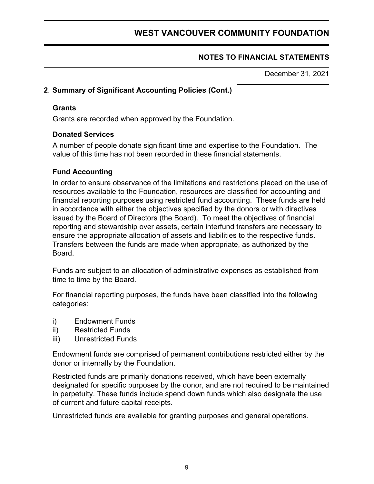### **NOTES TO FINANCIAL STATEMENTS**

December 31, 2021

### **2**. **Summary of Significant Accounting Policies (Cont.)**

#### **Grants**

Grants are recorded when approved by the Foundation.

### **Donated Services**

A number of people donate significant time and expertise to the Foundation. The value of this time has not been recorded in these financial statements.

### **Fund Accounting**

In order to ensure observance of the limitations and restrictions placed on the use of resources available to the Foundation, resources are classified for accounting and financial reporting purposes using restricted fund accounting. These funds are held in accordance with either the objectives specified by the donors or with directives issued by the Board of Directors (the Board). To meet the objectives of financial reporting and stewardship over assets, certain interfund transfers are necessary to ensure the appropriate allocation of assets and liabilities to the respective funds. Transfers between the funds are made when appropriate, as authorized by the Board.

Funds are subject to an allocation of administrative expenses as established from time to time by the Board.

For financial reporting purposes, the funds have been classified into the following categories:

- i) Endowment Funds
- ii) Restricted Funds
- iii) Unrestricted Funds

Endowment funds are comprised of permanent contributions restricted either by the donor or internally by the Foundation.

Restricted funds are primarily donations received, which have been externally designated for specific purposes by the donor, and are not required to be maintained in perpetuity. These funds include spend down funds which also designate the use of current and future capital receipts.

Unrestricted funds are available for granting purposes and general operations.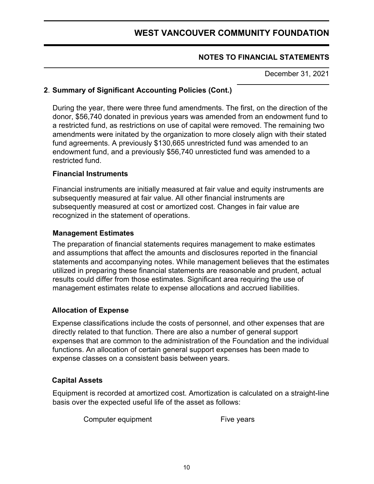### **NOTES TO FINANCIAL STATEMENTS**

December 31, 2021

### **2**. **Summary of Significant Accounting Policies (Cont.)**

During the year, there were three fund amendments. The first, on the direction of the donor, \$56,740 donated in previous years was amended from an endowment fund to a restricted fund, as restrictions on use of capital were removed. The remaining two amendments were initated by the organization to more closely align with their stated fund agreements. A previously \$130,665 unrestricted fund was amended to an endowment fund, and a previously \$56,740 unresticted fund was amended to a restricted fund.

#### **Financial Instruments**

Financial instruments are initially measured at fair value and equity instruments are subsequently measured at fair value. All other financial instruments are subsequently measured at cost or amortized cost. Changes in fair value are recognized in the statement of operations.

#### **Management Estimates**

The preparation of financial statements requires management to make estimates and assumptions that affect the amounts and disclosures reported in the financial statements and accompanying notes. While management believes that the estimates utilized in preparing these financial statements are reasonable and prudent, actual results could differ from those estimates. Significant area requiring the use of management estimates relate to expense allocations and accrued liabilities.

#### **Allocation of Expense**

Expense classifications include the costs of personnel, and other expenses that are directly related to that function. There are also a number of general support expenses that are common to the administration of the Foundation and the individual functions. An allocation of certain general support expenses has been made to expense classes on a consistent basis between years.

### **Capital Assets**

Equipment is recorded at amortized cost. Amortization is calculated on a straight-line basis over the expected useful life of the asset as follows:

Computer equipment Five years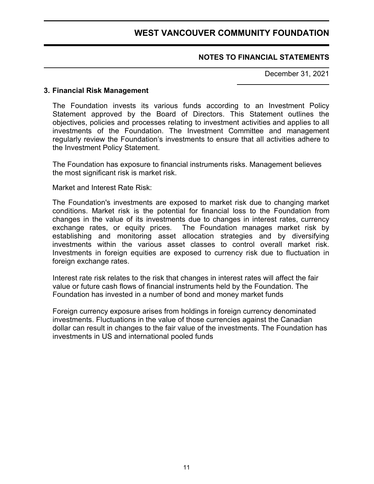#### **NOTES TO FINANCIAL STATEMENTS**

December 31, 2021

#### **3. Financial Risk Management**

The Foundation invests its various funds according to an Investment Policy Statement approved by the Board of Directors. This Statement outlines the objectives, policies and processes relating to investment activities and applies to all investments of the Foundation. The Investment Committee and management regularly review the Foundation's investments to ensure that all activities adhere to the Investment Policy Statement.

The Foundation has exposure to financial instruments risks. Management believes the most significant risk is market risk.

Market and Interest Rate Risk:

The Foundation's investments are exposed to market risk due to changing market conditions. Market risk is the potential for financial loss to the Foundation from changes in the value of its investments due to changes in interest rates, currency exchange rates, or equity prices. The Foundation manages market risk by establishing and monitoring asset allocation strategies and by diversifying investments within the various asset classes to control overall market risk. Investments in foreign equities are exposed to currency risk due to fluctuation in foreign exchange rates.

Interest rate risk relates to the risk that changes in interest rates will affect the fair value or future cash flows of financial instruments held by the Foundation. The Foundation has invested in a number of bond and money market funds

Foreign currency exposure arises from holdings in foreign currency denominated investments. Fluctuations in the value of those currencies against the Canadian dollar can result in changes to the fair value of the investments. The Foundation has investments in US and international pooled funds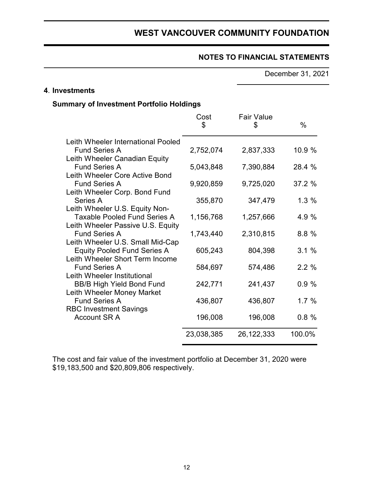### **NOTES TO FINANCIAL STATEMENTS**

December 31, 2021

#### **4**. **Investments**

#### **Summary of Investment Portfolio Holdings**

|                                                                                             | Cost<br>\$         | <b>Fair Value</b><br>\$ | $\%$         |
|---------------------------------------------------------------------------------------------|--------------------|-------------------------|--------------|
| Leith Wheeler International Pooled<br><b>Fund Series A</b><br>Leith Wheeler Canadian Equity | 2,752,074          | 2,837,333               | 10.9 %       |
| <b>Fund Series A</b><br>Leith Wheeler Core Active Bond                                      | 5,043,848          | 7,390,884               | 28.4 %       |
| <b>Fund Series A</b><br>Leith Wheeler Corp. Bond Fund                                       | 9,920,859          | 9,725,020               | 37.2 %       |
| Series A<br>Leith Wheeler U.S. Equity Non-                                                  | 355,870            | 347,479                 | 1.3%         |
| <b>Taxable Pooled Fund Series A</b><br>Leith Wheeler Passive U.S. Equity                    | 1,156,768          | 1,257,666               | 4.9 %        |
| <b>Fund Series A</b><br>Leith Wheeler U.S. Small Mid-Cap                                    | 1,743,440          | 2,310,815               | 8.8 %        |
| <b>Equity Pooled Fund Series A</b><br>Leith Wheeler Short Term Income                       | 605,243            | 804,398                 | 3.1%         |
| <b>Fund Series A</b><br>Leith Wheeler Institutional                                         | 584,697            | 574,486                 | 2.2%         |
| <b>BB/B High Yield Bond Fund</b><br>Leith Wheeler Money Market                              | 242,771            | 241,437                 | 0.9%         |
| <b>Fund Series A</b><br><b>RBC Investment Savings</b><br><b>Account SR A</b>                | 436,807<br>196,008 | 436,807<br>196,008      | 1.7%<br>0.8% |
|                                                                                             | 23,038,385         | 26, 122, 333            | 100.0%       |
|                                                                                             |                    |                         |              |

The cost and fair value of the investment portfolio at December 31, 2020 were \$19,183,500 and \$20,809,806 respectively.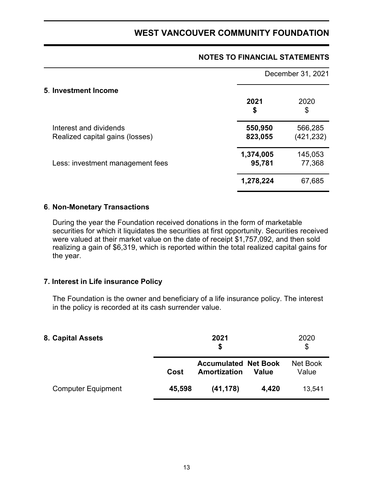|                                                           |                     | December 31, 2021     |
|-----------------------------------------------------------|---------------------|-----------------------|
| 5. Investment Income                                      | 2021<br>\$          | 2020<br>\$            |
| Interest and dividends<br>Realized capital gains (losses) | 550,950<br>823,055  | 566,285<br>(421, 232) |
| Less: investment management fees                          | 1,374,005<br>95,781 | 145,053<br>77,368     |
|                                                           | 1,278,224           | 67,685                |

#### **NOTES TO FINANCIAL STATEMENTS**

#### **6**. **Non-Monetary Transactions**

During the year the Foundation received donations in the form of marketable securities for which it liquidates the securities at first opportunity. Securities received were valued at their market value on the date of receipt \$1,757,092, and then sold realizing a gain of \$6,319, which is reported within the total realized capital gains for the year.

### **7. Interest in Life insurance Policy**

The Foundation is the owner and beneficiary of a life insurance policy. The interest in the policy is recorded at its cash surrender value.

| 8. Capital Assets         |        | 2021<br>S                                   |       | 2020<br>S         |
|---------------------------|--------|---------------------------------------------|-------|-------------------|
|                           | Cost   | <b>Accumulated Net Book</b><br>Amortization | Value | Net Book<br>Value |
| <b>Computer Equipment</b> | 45,598 | (41, 178)                                   | 4,420 | 13,541            |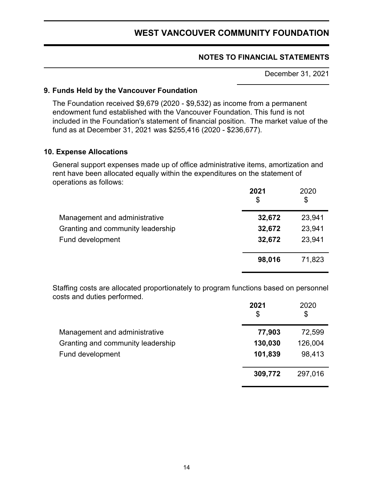#### **NOTES TO FINANCIAL STATEMENTS**

December 31, 2021

#### **9. Funds Held by the Vancouver Foundation**

The Foundation received \$9,679 (2020 - \$9,532) as income from a permanent endowment fund established with the Vancouver Foundation. This fund is not included in the Foundation's statement of financial position. The market value of the fund as at December 31, 2021 was \$255,416 (2020 - \$236,677).

#### **10. Expense Allocations**

General support expenses made up of office administrative items, amortization and rent have been allocated equally within the expenditures on the statement of operations as follows:

|                                   | 2021<br>\$ | 2020<br>\$ |
|-----------------------------------|------------|------------|
| Management and administrative     | 32,672     | 23,941     |
| Granting and community leadership | 32,672     | 23,941     |
| Fund development                  | 32,672     | 23,941     |
|                                   | 98,016     | 71,823     |

Staffing costs are allocated proportionately to program functions based on personnel costs and duties performed.

|                                   | 2021<br>\$ | 2020<br>\$ |
|-----------------------------------|------------|------------|
| Management and administrative     | 77,903     | 72,599     |
| Granting and community leadership | 130,030    | 126,004    |
| Fund development                  | 101,839    | 98,413     |
|                                   | 309,772    | 297,016    |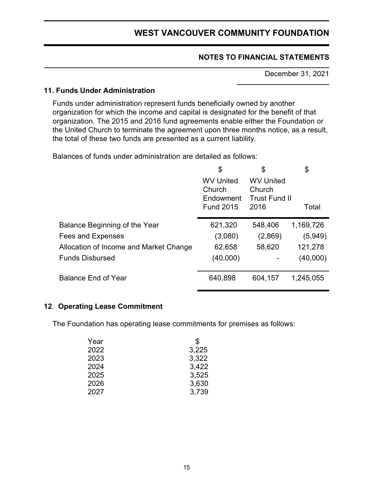#### **NOTES TO FINANCIAL STATEMENTS**

December 31, 2021

#### **11. Funds Under Administration**

Funds under administration represent funds beneficially owned by another organization for which the income and capital is designated for the benefit of that organization. The 2015 and 2016 fund agreements enable either the Foundation or the United Church to terminate the agreement upon three months notice, as a result, the total of these two funds are presented as a current liability.

Balances of funds under administration are detailed as follows:

|                                        | \$               | \$                   | \$        |
|----------------------------------------|------------------|----------------------|-----------|
|                                        | <b>WV United</b> | <b>WV United</b>     |           |
|                                        | Church           | Church               |           |
|                                        | Endowment        | <b>Trust Fund II</b> |           |
|                                        | <b>Fund 2015</b> | 2016                 | Total     |
| Balance Beginning of the Year          | 621,320          | 548,406              | 1,169,726 |
| <b>Fees and Expenses</b>               | (3,080)          | (2,869)              | (5,949)   |
| Allocation of Income and Market Change | 62,658           | 58,620               | 121,278   |
| <b>Funds Disbursed</b>                 | (40,000)         |                      | (40,000)  |
|                                        |                  |                      |           |
| <b>Balance End of Year</b>             | 640,898          | 604,157              | 1,245,055 |
|                                        |                  |                      |           |

#### **12**. **Operating Lease Commitment**

The Foundation has operating lease commitments for premises as follows:

| Year | \$    |
|------|-------|
| 2022 | 3,225 |
| 2023 | 3,322 |
| 2024 | 3,422 |
| 2025 | 3,525 |
| 2026 | 3,630 |
| 2027 | 3,739 |